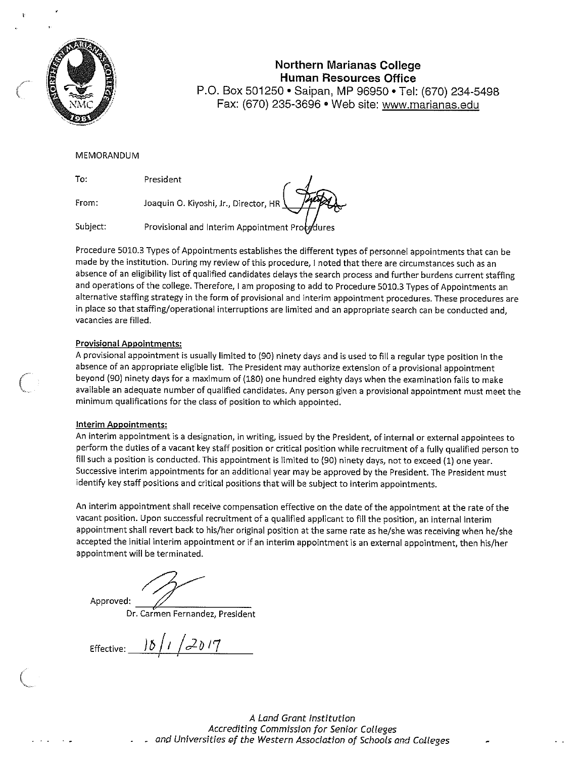

#### **Northern Marianas College Human Resources Office**  P.O. Box 501250 • Saipan, MP 96950 • Tel: (670) 234-5498

Fax: (670) 235-3696 • Web site: www.marianas.edu

#### MEMORANDUM

To: President

**From:** 

Joaquin O. Kiyoshi, Jr., Director, HR

Subject: Provisional and Interim Appointment Protedures

Procedure 5010.3 Types of Appointments establishes the different types of personnel appointments that can be made by the institution. During my review of this procedure, I noted that there are circumstances such as an absence of an eligibility list of qualified candidates delays the search process and further burdens current staffing and operations of the college. Therefore, I am proposing to add to Procedure 5010.3 Types of Appointments an **alternative staffing strategy in the form of provisional and interim appointment procedures. These procedures are in place so that staffing/operational interruptions are limited and an appropriate search can be conducted and, vacancies are filled.** 

#### **Provisional Appointments:**

A provisional appointment is usually limited to (90) ninety days and is used to fill a regular type position in the **absence of an appropriate eligible list. The President may authorize extension of a provisional appointment**  beyond (90) ninety days for a maximum of (180) one hundred eighty days when the examination fails to make **available an adequate number of qualified candidates. Any person given a provisional appointment must meet the minimum qualifications for the class of position to which appointed.** 

#### **Interim Appointments:**

**An interim appointment is a designation1 in writing, issued by the President, of internal or external appointees to**  perform the duties of a vacant key staff position or critical position while recruitment of a fully qualified person to fill such a position is conducted. This appointment is limited to (90) ninety days, not to exceed (1) one year. Successive interim appointments for an additional year may be approved by the President. The President must identify key staff positions and critical positions that will be subject to interim appointments.

An interim appointment shall receive compensation effective on the date of the appointment at the rate of the vacant position. Upon successful recruitment of a qualified applicant to fill the position, an internal interim appointment shall revert back to his/her original position at the same rate as he/she was receiving when he/she accepted the initial interim appointment or if an interim appointment is an external appointment, then his/her appointment will be terminated.

Approved:~

**Dr. Carmen Fernandez1 President** 

Effective: 15 / 1 / 2 0 17

A Land Grant Institution Accrediting Commission for Senior Colleges and Universities of the Western Association of Schools and Colleges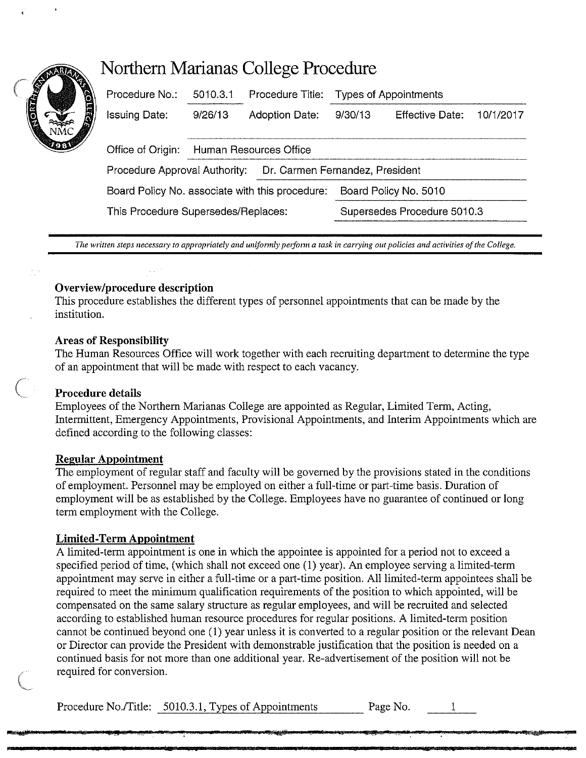# **Northern Marianas College Procedure**

| Procedure No.:                                  | 5010.3.1               | Procedure Title:      | <b>Types of Appointments</b>    |                 |           |
|-------------------------------------------------|------------------------|-----------------------|---------------------------------|-----------------|-----------|
| <b>Issuing Date:</b>                            | 9/26/13                | <b>Adoption Date:</b> | 9/30/13                         | Effective Date: | 10/1/2017 |
| Office of Origin:                               | Human Resources Office |                       |                                 |                 |           |
| Procedure Approval Authority:                   |                        |                       | Dr. Carmen Fernandez, President |                 |           |
| Board Policy No. associate with this procedure: |                        |                       | Board Policy No. 5010           |                 |           |
| This Procedure Supersedes/Replaces:             |                        |                       | Supersedes Procedure 5010.3     |                 |           |
|                                                 |                        |                       |                                 |                 |           |

The written steps necessary to appropriately and uniformly perform a task in carrying out policies and activities of the College.

## **Overview/procedure description**

This procedure establishes the different types of personnel appointments that can be made by the institution.

### **Areas of Responsibility**

The Human Resources Office will work together with each recruiting department to determine the type of an appointment that will be made with respect to each vacancy.

# **Procedure details**

Employees of the Northern Marianas College are appointed as Regular, Limited Term, Acting, Intermittent, Emergency Appointments, Provisional Appointments, and Interim Appointments which are defined according to the following classes:

### **Regular Appointment**

The employment of regular staff and faculty will be governed by the provisions stated in the conditions of employment. Personnel may be employed on either a full-time or part-time basis. Duration of employment will be as established by the College. Employees have no guarantee of continued or long term employment with the College.

# **Limited-Term Appointment**

A limited-term appointment is one in which the appointee is appointed for a period not to exceed a specified period of time, (which shall not exceed one (I) year). An employee serving a limited-term appointment may serve in either a full-time or a part-time position. All limited-term appointees shall be required to meet the minimum qualification requirements of the position to which appointed, will be compensated on the same salary structure as regular employees, and will be recruited and selected according to established human resource procedures for regular positions. A limited-term position cannot be continued beyond one (I) year unless it is converted to a regular position or the relevant Dean or Director can provide the President with demonstrable justification that the position is needed on a continued basis for not more than one additional year. Re-advertisement of the position will not be required for conversion.

Procedure No./Title: 5010.3.1, Types of Appointments Page No.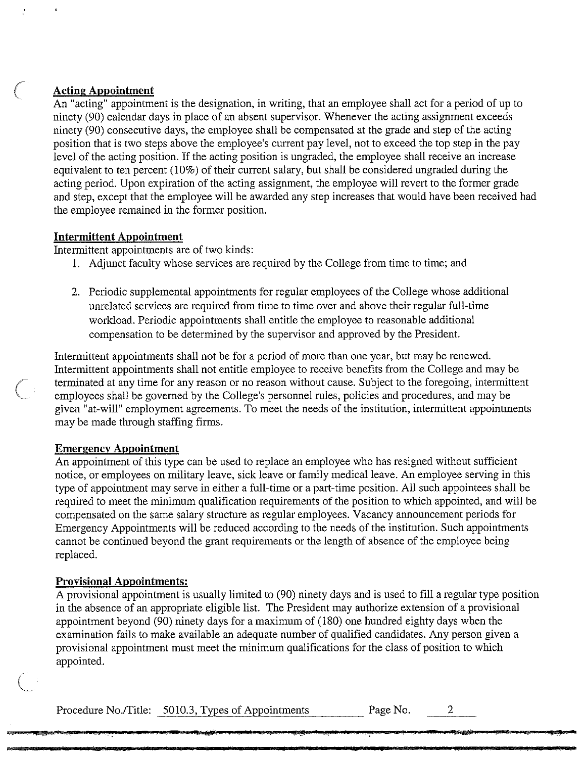### **Acting Appointment**

An "acting" appointment is the designation, in writing, that an employee shall act for a period of up to ninety (90) calendar days in place of an absent supervisor. Whenever the acting assignment exceeds ninety (90) consecutive days, the employee shall be compensated at the grade and step of the acting position that is two steps above the employee's current pay level, not to exceed the top step in the pay level of the acting position. If the acting position is ungraded, the employee shall receive an increase equivalent to ten percent (10%) of their current salary, but shall be considered ungraded during the acting period. Upon expiration of the acting assignment, the employee will revert to the former grade and step, except that the employee will be awarded any step increases that would have been received had the employee remained in the former position.

### **Intermittent Appointment**

Intermittent appointments are of two kinds:

- I. Adjunct faculty whose services are required by the College from time to time; and
- 2. Periodic supplemental appointments for regular employees of the College whose additional unrelated services are required from time to time over and above their regular full-time workload. Periodic appointments shall entitle the employee to reasonable additional compensation to be determined by the supervisor and approved by the President.

Intermittent appointments shall not be for a period of more than one year, but may be renewed. Intermittent appointments shall not entitle employee to receive benefits from the College and may be terminated at any time for any reason or no reason without cause. Subject to the foregoing, intermittent employees shall be governed by the College's personnel rules, policies and procedures, and may be given "at-will" employment agreements. To meet the needs of the institution, intermittent appointments may be made through staffing firms.

### **Emergency Appointment**

An appointment of this type can be used to replace an employee who has resigned without sufficient notice, or employees on military leave, sick leave or family medical leave. An employee serving in this type of appointment may serve in either a full-time or a part-time position. All such appointees shall be required to meet the minimum qualification requirements of the position to which appointed, and will be compensated on the same salary structure as regular employees. Vacancy announcement periods for Emergency Appointments will be reduced according to the needs of the institution. Such appointments cannot be continued beyond the grant requirements or the length of absence of the employee being replaced.

### **Provisional Appointments:**

 $\left(\right)$ 

A provisional appointment is usually limited to (90) ninety days and is used to fill a regular type position in the absence of an appropriate eligible list. The President may authorize extension of a provisional appointment beyond (90) ninety days for a maximum of (180) one hundred eighty days when the examination fails to make available an adequate number of qualified candidates. Any person given a provisional appointment must meet the minimum qualifications for the class of position to which appointed.

Procedure No./Title: 5010.3, Types of Appointments Page No. 2